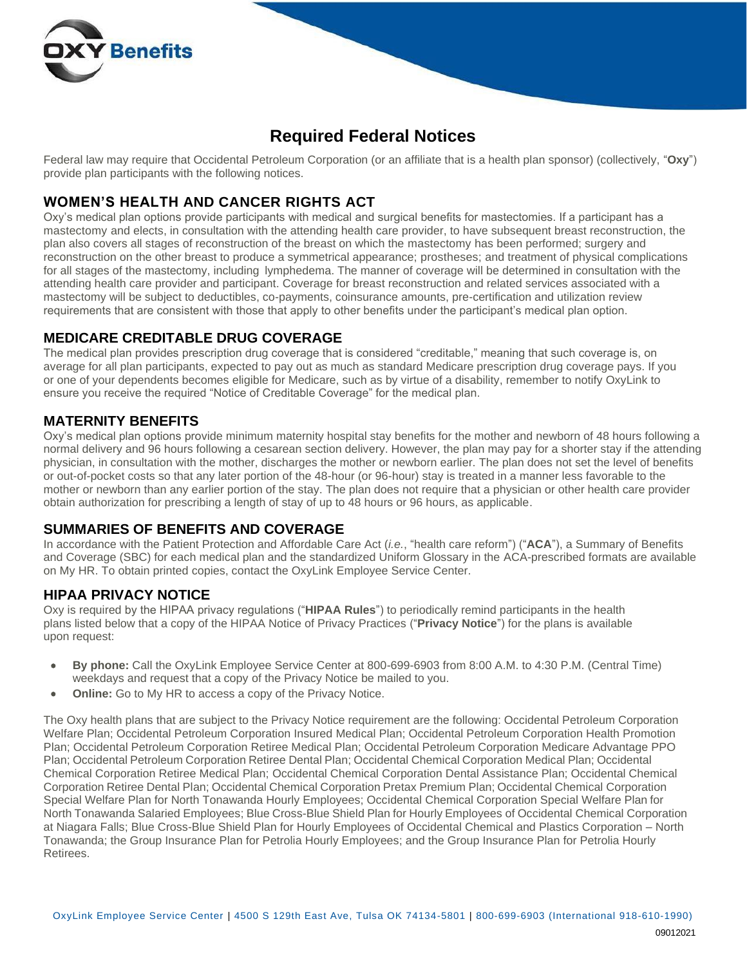

# **Required Federal Notices**

Federal law may require that Occidental Petroleum Corporation (or an affiliate that is a health plan sponsor) (collectively, "**Oxy**") provide plan participants with the following notices.

## **WOMEN'S HEALTH AND CANCER RIGHTS ACT**

Oxy's medical plan options provide participants with medical and surgical benefits for mastectomies. If a participant has a mastectomy and elects, in consultation with the attending health care provider, to have subsequent breast reconstruction, the plan also covers all stages of reconstruction of the breast on which the mastectomy has been performed; surgery and reconstruction on the other breast to produce a symmetrical appearance; prostheses; and treatment of physical complications for all stages of the mastectomy, including lymphedema. The manner of coverage will be determined in consultation with the attending health care provider and participant. Coverage for breast reconstruction and related services associated with a mastectomy will be subject to deductibles, co-payments, coinsurance amounts, pre-certification and utilization review requirements that are consistent with those that apply to other benefits under the participant's medical plan option.

#### **MEDICARE CREDITABLE DRUG COVERAGE**

The medical plan provides prescription drug coverage that is considered "creditable," meaning that such coverage is, on average for all plan participants, expected to pay out as much as standard Medicare prescription drug coverage pays. If you or one of your dependents becomes eligible for Medicare, such as by virtue of a disability, remember to notify OxyLink to ensure you receive the required "Notice of Creditable Coverage" for the medical plan.

#### **MATERNITY BENEFITS**

Oxy's medical plan options provide minimum maternity hospital stay benefits for the mother and newborn of 48 hours following a normal delivery and 96 hours following a cesarean section delivery. However, the plan may pay for a shorter stay if the attending physician, in consultation with the mother, discharges the mother or newborn earlier. The plan does not set the level of benefits or out-of-pocket costs so that any later portion of the 48-hour (or 96-hour) stay is treated in a manner less favorable to the mother or newborn than any earlier portion of the stay. The plan does not require that a physician or other health care provider obtain authorization for prescribing a length of stay of up to 48 hours or 96 hours, as applicable.

#### **SUMMARIES OF BENEFITS AND COVERAGE**

In accordance with the Patient Protection and Affordable Care Act (*i.e.*, "health care reform") ("**ACA**"), a Summary of Benefits and Coverage (SBC) for each medical plan and the standardized Uniform Glossary in the ACA-prescribed formats are available on My HR. To obtain printed copies, contact the OxyLink Employee Service Center.

#### **HIPAA PRIVACY NOTICE**

Oxy is required by the HIPAA privacy regulations ("**HIPAA Rules**") to periodically remind participants in the health plans listed below that a copy of the HIPAA Notice of Privacy Practices ("**Privacy Notice**") for the plans is available upon request:

- **By phone:** Call the OxyLink Employee Service Center at 800-699-6903 from 8:00 A.M. to 4:30 P.M. (Central Time) weekdays and request that a copy of the Privacy Notice be mailed to you.
- **Online:** Go to My HR to access a copy of the Privacy Notice.

The Oxy health plans that are subject to the Privacy Notice requirement are the following: Occidental Petroleum Corporation Welfare Plan; Occidental Petroleum Corporation Insured Medical Plan; Occidental Petroleum Corporation Health Promotion Plan; Occidental Petroleum Corporation Retiree Medical Plan; Occidental Petroleum Corporation Medicare Advantage PPO Plan; Occidental Petroleum Corporation Retiree Dental Plan; Occidental Chemical Corporation Medical Plan; Occidental Chemical Corporation Retiree Medical Plan; Occidental Chemical Corporation Dental Assistance Plan; Occidental Chemical Corporation Retiree Dental Plan; Occidental Chemical Corporation Pretax Premium Plan; Occidental Chemical Corporation Special Welfare Plan for North Tonawanda Hourly Employees; Occidental Chemical Corporation Special Welfare Plan for North Tonawanda Salaried Employees; Blue Cross-Blue Shield Plan for Hourly Employees of Occidental Chemical Corporation at Niagara Falls; Blue Cross-Blue Shield Plan for Hourly Employees of Occidental Chemical and Plastics Corporation – North Tonawanda; the Group Insurance Plan for Petrolia Hourly Employees; and the Group Insurance Plan for Petrolia Hourly Retirees.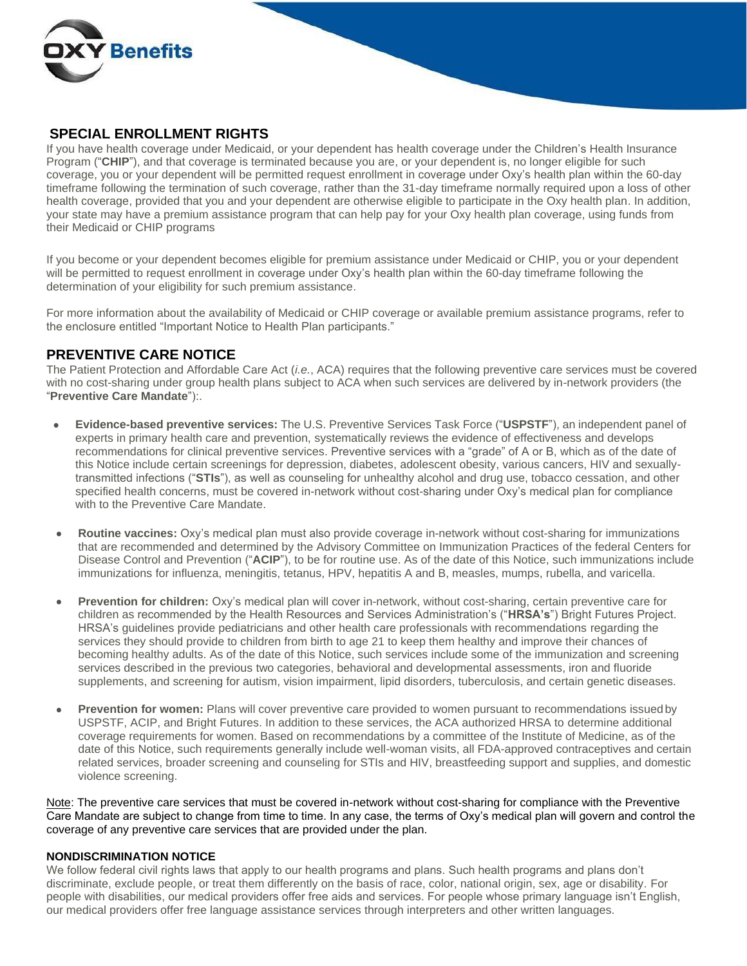

#### **SPECIAL ENROLLMENT RIGHTS**

If you have health coverage under Medicaid, or your dependent has health coverage under the Children's Health Insurance Program ("**CHIP**"), and that coverage is terminated because you are, or your dependent is, no longer eligible for such coverage, you or your dependent will be permitted request enrollment in coverage under Oxy's health plan within the 60-day timeframe following the termination of such coverage, rather than the 31-day timeframe normally required upon a loss of other health coverage, provided that you and your dependent are otherwise eligible to participate in the Oxy health plan. In addition, your state may have a premium assistance program that can help pay for your Oxy health plan coverage, using funds from their Medicaid or CHIP programs

If you become or your dependent becomes eligible for premium assistance under Medicaid or CHIP, you or your dependent will be permitted to request enrollment in coverage under Oxy's health plan within the 60-day timeframe following the determination of your eligibility for such premium assistance.

For more information about the availability of Medicaid or CHIP coverage or available premium assistance programs, refer to the enclosure entitled "Important Notice to Health Plan participants."

#### **PREVENTIVE CARE NOTICE**

The Patient Protection and Affordable Care Act (*i.e.*, ACA) requires that the following preventive care services must be covered with no cost-sharing under group health plans subject to ACA when such services are delivered by in-network providers (the "**Preventive Care Mandate**"):.

- **Evidence-based preventive services:** The U.S. Preventive Services Task Force ("**USPSTF**"), an independent panel of experts in primary health care and prevention, systematically reviews the evidence of effectiveness and develops recommendations for clinical preventive services. Preventive services with a "grade" of A or B, which as of the date of this Notice include certain screenings for depression, diabetes, adolescent obesity, various cancers, HIV and sexuallytransmitted infections ("**STIs**"), as well as counseling for unhealthy alcohol and drug use, tobacco cessation, and other specified health concerns, must be covered in-network without cost-sharing under Oxy's medical plan for compliance with to the Preventive Care Mandate.
- **Routine vaccines:** Oxy's medical plan must also provide coverage in-network without cost-sharing for immunizations that are recommended and determined by the Advisory Committee on Immunization Practices of the federal Centers for Disease Control and Prevention ("**ACIP**"), to be for routine use. As of the date of this Notice, such immunizations include immunizations for influenza, meningitis, tetanus, HPV, hepatitis A and B, measles, mumps, rubella, and varicella.
- **Prevention for children:** Oxy's medical plan will cover in-network, without cost-sharing, certain preventive care for children as recommended by the Health Resources and Services Administration's ("**HRSA's**") Bright Futures Project. HRSA's guidelines provide pediatricians and other health care professionals with recommendations regarding the services they should provide to children from birth to age 21 to keep them healthy and improve their chances of becoming healthy adults. As of the date of this Notice, such services include some of the immunization and screening services described in the previous two categories, behavioral and developmental assessments, iron and fluoride supplements, and screening for autism, vision impairment, lipid disorders, tuberculosis, and certain genetic diseases.
- **Prevention for women:** Plans will cover preventive care provided to women pursuant to recommendations issued by USPSTF, ACIP, and Bright Futures. In addition to these services, the ACA authorized HRSA to determine additional coverage requirements for women. Based on recommendations by a committee of the Institute of Medicine, as of the date of this Notice, such requirements generally include well-woman visits, all FDA-approved contraceptives and certain related services, broader screening and counseling for STIs and HIV, breastfeeding support and supplies, and domestic violence screening.

Note: The preventive care services that must be covered in-network without cost-sharing for compliance with the Preventive Care Mandate are subject to change from time to time. In any case, the terms of Oxy's medical plan will govern and control the coverage of any preventive care services that are provided under the plan.

#### **NONDISCRIMINATION NOTICE**

We follow federal civil rights laws that apply to our health programs and plans. Such health programs and plans don't discriminate, exclude people, or treat them differently on the basis of race, color, national origin, sex, age or disability. For people with disabilities, our medical providers offer free aids and services. For people whose primary language isn't English, our medical providers offer free language assistance services through interpreters and other written languages.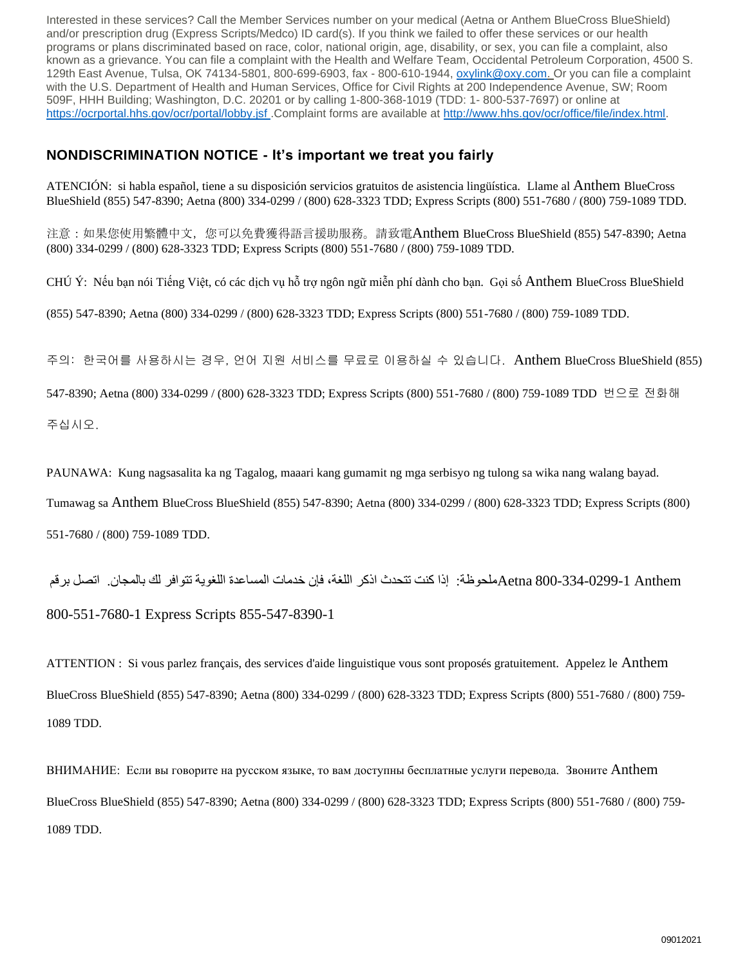Interested in these services? Call the Member Services number on your medical (Aetna or Anthem BlueCross BlueShield) and/or prescription drug (Express Scripts/Medco) ID card(s). If you think we failed to offer these services or our health programs or plans discriminated based on race, color, national origin, age, disability, or sex, you can file a complaint, also known as a grievance. You can file a complaint with the Health and Welfare Team, Occidental Petroleum Corporation, 4500 S. 129th East Avenue, Tulsa, OK 74134-5801, 800-699-6903, fax - 800-610-1944, [oxylink@oxy.com. O](mailto:oxylink@oxy.com)r you can file a complaint with the U.S. Department of Health and Human Services, Office for Civil Rights at 200 Independence Avenue, SW; Room 509F, HHH Building; Washington, D.C. 20201 or by calling 1-800-368-1019 (TDD: 1- 800-537-7697) or online at [https://ocrportal.hhs.gov/ocr/portal/lobby.jsf .](https://ocrportal.hhs.gov/ocr/portal/lobby.jsf)Complaint forms are available at [http://www.hhs.gov/ocr/office/file/index.html.](http://www.hhs.gov/ocr/office/file/index.html)

### **NONDISCRIMINATION NOTICE - It's important we treat you fairly**

ATENCIÓN: si habla español, tiene a su disposición servicios gratuitos de asistencia lingüística. Llame al Anthem BlueCross BlueShield (855) 547-8390; Aetna (800) 334-0299 / (800) 628-3323 TDD; Express Scripts (800) 551-7680 / (800) 759-1089 TDD.

注意:如果您使用繁體中文,您可以免費獲得語言援助服務。請致電Anthem BlueCross BlueShield (855) 547-8390; Aetna (800) 334-0299 / (800) 628-3323 TDD; Express Scripts (800) 551-7680 / (800) 759-1089 TDD.

CHÚ Ý: Nếu bạn nói Tiếng Việt, có các dịch vụ hỗ trợ ngôn ngữ miễn phí dành cho bạn. Gọi số Anthem BlueCross BlueShield

(855) 547-8390; Aetna (800) 334-0299 / (800) 628-3323 TDD; Express Scripts (800) 551-7680 / (800) 759-1089 TDD.

주의: 한국어를 사용하시는 경우, 언어 지원 서비스를 무료로 이용하실 수 있습니다. Anthem BlueCross BlueShield (855)

547-8390; Aetna (800) 334-0299 / (800) 628-3323 TDD; Express Scripts (800) 551-7680 / (800) 759-1089 TDD 번으로 전화해

주십시오.

PAUNAWA: Kung nagsasalita ka ng Tagalog, maaari kang gumamit ng mga serbisyo ng tulong sa wika nang walang bayad.

Tumawag sa Anthem BlueCross BlueShield (855) 547-8390; Aetna (800) 334-0299 / (800) 628-3323 TDD; Express Scripts (800)

551-7680 / (800) 759-1089 TDD.

 Anthem 800-334-0299-1 Aetnaملحوظة: إذا كنت تتحدث اذكر اللغة، فإن خدمات المساعدة اللغوية تتوافر لك بالمجان. اتصل برقم 800-551-7680-1 Express Scripts 855-547-8390-1

ATTENTION : Si vous parlez français, des services d'aide linguistique vous sont proposés gratuitement. Appelez le Anthem BlueCross BlueShield (855) 547-8390; Aetna (800) 334-0299 / (800) 628-3323 TDD; Express Scripts (800) 551-7680 / (800) 759- 1089 TDD.

ВНИМАНИЕ: Если вы говорите на русском языке, то вам доступны бесплатные услуги перевода. Звоните Anthem BlueCross BlueShield (855) 547-8390; Aetna (800) 334-0299 / (800) 628-3323 TDD; Express Scripts (800) 551-7680 / (800) 759- 1089 TDD.